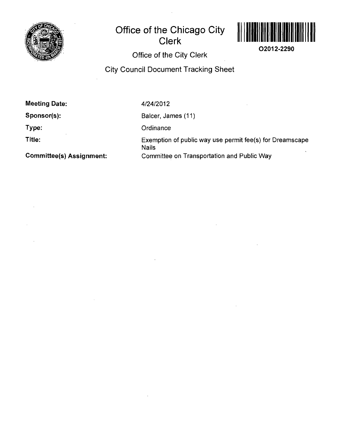

## **Office of the Chicago City Clerk**



**02012-2290** 

**Office of the City Clerk** 

**City Council Document Tracking Sheet** 

**Meeting Date:** 

**Sponsor(s):** 

**Type:** 

**Title:** 

4/24/2012

Balcer, James (11)

**Ordinance** 

Exemption of public way use permit fee(s) for Dreamscape Nails Committee on Transportation and Public Way

**Committee(s) Assignment:**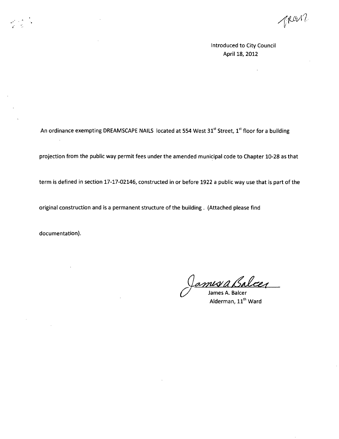i

Introduced to City Council April 18, 2012

An ordinance exempting DREAMSCAPE NAILS located at 554 West  $31<sup>st</sup>$  Street,  $1<sup>st</sup>$  floor for a building

projection from the public way permit fees under the amended municipal code to Chapter 10-28 as that

term is defined in section 17-17-02146, constructed in or before 1922 a public way use that is part of the

original construction and is a permanent structure of the building . (Attached please find

documentation).

 $\bar{z}$ 

nis a Bo

James A. Balcer Alderman, 11<sup>th</sup> Ward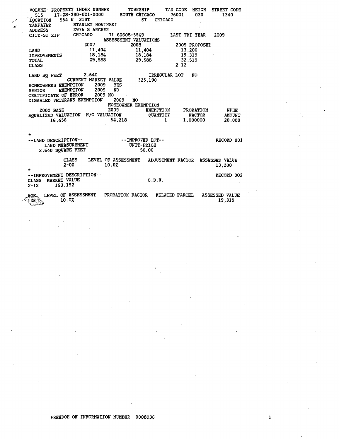| 17-28-330-021-0000<br><b>SOUTH CHICAGO</b><br>76001<br>030<br>515<br>554 W 31ST<br><b>ST</b><br><b>CHICAGO</b><br><b>LOCATION</b><br>STANLEY NOWINSKI<br><b><i>TAXPAYER</i></b><br>2976 S ARCHER | STREET CODE<br>1340 |  |  |  |  |  |  |
|--------------------------------------------------------------------------------------------------------------------------------------------------------------------------------------------------|---------------------|--|--|--|--|--|--|
| <b>ADDRESS</b><br><b>CHICAGO</b><br>IL 60608-5549<br>LAST TRI YEAR<br>2009<br>CITY-ST ZIP                                                                                                        |                     |  |  |  |  |  |  |
| ASSESSMENT VALUATIONS                                                                                                                                                                            |                     |  |  |  |  |  |  |
| 2007<br>2008<br>2009 PROPOSED                                                                                                                                                                    |                     |  |  |  |  |  |  |
| 11,404<br>11,404<br>13,200<br>LAND                                                                                                                                                               |                     |  |  |  |  |  |  |
| 18,184<br>19,319<br>18,184<br><b>IMPROVEMENTS</b>                                                                                                                                                |                     |  |  |  |  |  |  |
| 29,588<br>29,588<br>32,519<br><b>TOTAL</b>                                                                                                                                                       |                     |  |  |  |  |  |  |
| $2 - 12$<br><b>CLASS</b>                                                                                                                                                                         |                     |  |  |  |  |  |  |
| 2,640<br>IRREGULAR LOT<br><b>NO</b><br>LAND SQ FEET<br>CURRENT MARKET VALUE<br>325,190<br>HOMEOWNERS EXEMPTION<br>$\sim 2009$<br><b>YES</b>                                                      |                     |  |  |  |  |  |  |
| <b>EXEMPTION</b><br>2009<br><b>NO</b><br><b>SENIOR</b>                                                                                                                                           |                     |  |  |  |  |  |  |
| CERTIFICATE OF ERROR<br>2009 NO                                                                                                                                                                  |                     |  |  |  |  |  |  |
| DISABLED VETERANS EXEMPTION<br>2009<br>NO                                                                                                                                                        |                     |  |  |  |  |  |  |
| HOMEOWNER EXEMPTION<br>2009<br><b>EXEMPTION</b><br><b>PRORATION</b><br><b>2002 BASE</b>                                                                                                          | NPHE                |  |  |  |  |  |  |
| EQUALIZED VALUATION H/O VALUATION<br><b>QUANTITY</b><br><b>FACTOR</b>                                                                                                                            | <b>AMOUNT</b>       |  |  |  |  |  |  |
| 54,218<br>$\mathbf{I}$<br>16,456<br>1.000000                                                                                                                                                     | 20,000              |  |  |  |  |  |  |
|                                                                                                                                                                                                  |                     |  |  |  |  |  |  |
|                                                                                                                                                                                                  |                     |  |  |  |  |  |  |
| ÷<br>--LAND DESCRIPTION--<br>--IMPROVED LOT--                                                                                                                                                    | RECORD 001          |  |  |  |  |  |  |
| ) DESCRIPTION--<br>LAND MEASUREMENT<br>UNIT-PRICE                                                                                                                                                |                     |  |  |  |  |  |  |
| 2.640 SOUARE FEET<br>50.00                                                                                                                                                                       |                     |  |  |  |  |  |  |
|                                                                                                                                                                                                  |                     |  |  |  |  |  |  |
| LEVEL OF ASSESSMENT<br><b>CLASS</b><br><b>ADJUSTMENT FACTOR</b><br><b>ASSESSED VALUE</b><br>$2 - 00$<br>10.02<br>13,200                                                                          |                     |  |  |  |  |  |  |
| -- IMPROVEMENT DESCRIPTION--                                                                                                                                                                     | RECORD 002          |  |  |  |  |  |  |
| MARKET VALUE<br>C.D.U.<br><b>CLASS</b><br>193,192<br>$2 - 12$                                                                                                                                    |                     |  |  |  |  |  |  |
| LEVEL OF ASSESSMENT PRORATION FACTOR<br>RELATED PARCEL<br><b>ASSESSED VALUE</b><br>AGE.<br>10.0%                                                                                                 | 19,319              |  |  |  |  |  |  |

FREEDOM OF INFORMATION NUMBER 0008036

 $\pmb{1}$